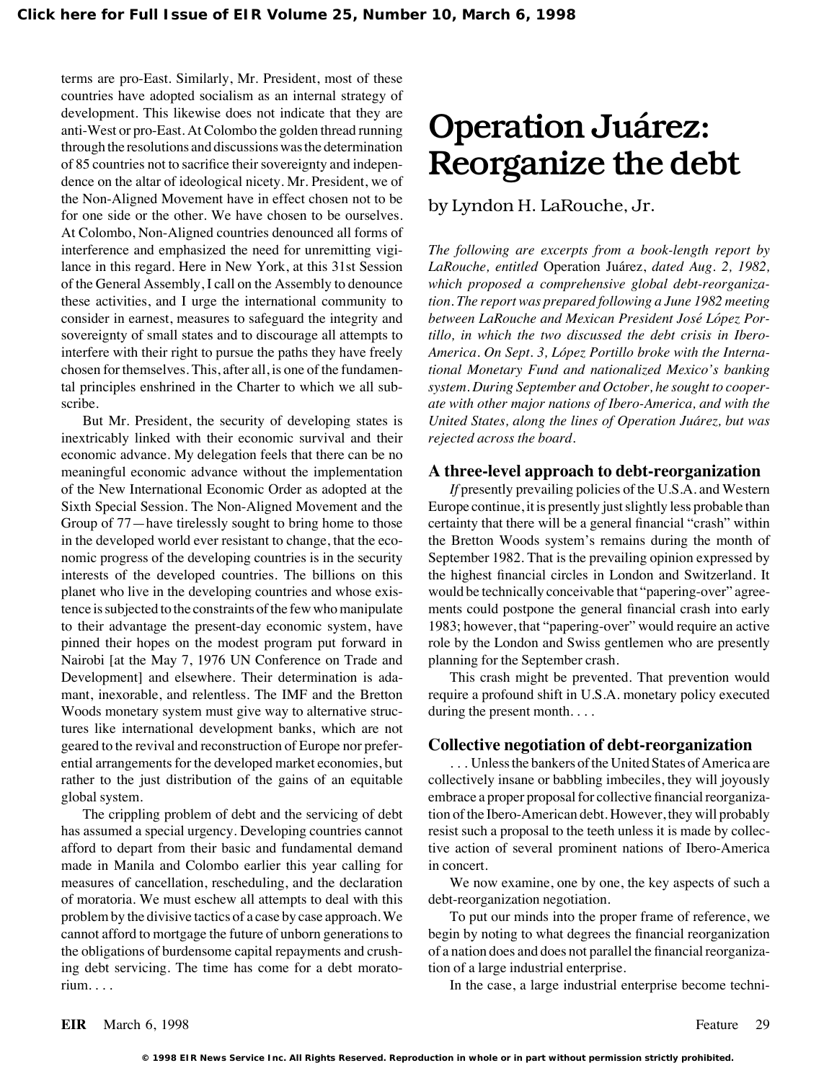terms are pro-East. Similarly, Mr. President, most of these countries have adopted socialism as an internal strategy of development. This likewise does not indicate that they are anti-West or pro-East. At Colombo the golden thread running  $Operation$  Juárez: through the resolutions and discussions was the determination of 85 countries not to sacrifice their sovereignty and indepen-<br>dence on the altar of ideological nicety. Mr. President, we of the Non-Aligned Movement have in effect chosen not to be by Lyndon H. LaRouche, Jr. for one side or the other. We have chosen to be ourselves. At Colombo, Non-Aligned countries denounced all forms of interference and emphasized the need for unremitting vigi- *The following are excerpts from a book-length report by* lance in this regard. Here in New York, at this 31st Session *LaRouche, entitled* Operation Jua´rez, *dated Aug. 2, 1982,* of the General Assembly, I call on the Assembly to denounce *which proposed a comprehensive global debt-reorganiza*these activities, and I urge the international community to *tion. The report was prepared following a June 1982 meeting* consider in earnest, measures to safeguard the integrity and *between LaRouche and Mexican President José López Por*sovereignty of small states and to discourage all attempts to *tillo, in which the two discussed the debt crisis in Ibero*interfere with their right to pursue the paths they have freely *America. On Sept. 3, López Portillo broke with the Interna*chosen for themselves. This, after all, is one of the fundamen- *tional Monetary Fund and nationalized Mexico's banking* tal principles enshrined in the Charter to which we all sub- *system. During September and October, he sought to cooper*scribe. *ate with other major nations of Ibero-America, and with the*

inextricably linked with their economic survival and their *rejected across the board.* economic advance. My delegation feels that there can be no meaningful economic advance without the implementation **A three-level approach to debt-reorganization** of the New International Economic Order as adopted at the *If* presently prevailing policies of the U.S.A. and Western Sixth Special Session. The Non-Aligned Movement and the Europe continue, it is presently just slightly less probable than Group of 77—have tirelessly sought to bring home to those certainty that there will be a general financial "crash" within in the developed world ever resistant to change, that the eco- the Bretton Woods system's remains during the month of nomic progress of the developing countries is in the security September 1982. That is the prevailing opinion expressed by interests of the developed countries. The billions on this the highest financial circles in London and Switzerland. It planet who live in the developing countries and whose exis- would be technically conceivable that "papering-over" agreetence is subjected to the constraints of the few who manipulate ments could postpone the general financial crash into early to their advantage the present-day economic system, have 1983; however, that "papering-over" would require an active pinned their hopes on the modest program put forward in role by the London and Swiss gentlemen who are presently Nairobi [at the May 7, 1976 UN Conference on Trade and planning for the September crash. Development] and elsewhere. Their determination is ada- This crash might be prevented. That prevention would mant, inexorable, and relentless. The IMF and the Bretton require a profound shift in U.S.A. monetary policy executed Woods monetary system must give way to alternative struc- during the present month.... tures like international development banks, which are not geared to the revival and reconstruction of Europe nor prefer- **Collective negotiation of debt-reorganization** ential arrangements for the developed market economies, but . . . Unless the bankers of the United States of America are rather to the just distribution of the gains of an equitable collectively insane or babbling imbeciles, they will joyously

has assumed a special urgency. Developing countries cannot resist such a proposal to the teeth unless it is made by collecafford to depart from their basic and fundamental demand tive action of several prominent nations of Ibero-America made in Manila and Colombo earlier this year calling for in concert. measures of cancellation, rescheduling, and the declaration We now examine, one by one, the key aspects of such a of moratoria. We must eschew all attempts to deal with this debt-reorganization negotiation. problem by the divisive tactics of a case by case approach. We To put our minds into the proper frame of reference, we cannot afford to mortgage the future of unborn generations to begin by noting to what degrees the financial reorganization the obligations of burdensome capital repayments and crush- of a nation does and does not parallel the financial reorganizaing debt servicing. The time has come for a debt morato- tion of a large industrial enterprise. rium. . . . In the case, a large industrial enterprise become techni-

But Mr. President, the security of developing states is *United States, along the lines of Operation Jua´rez, but was*

global system. embrace a proper proposal for collective financial reorganiza-The crippling problem of debt and the servicing of debt tion of the Ibero-American debt. However, they will probably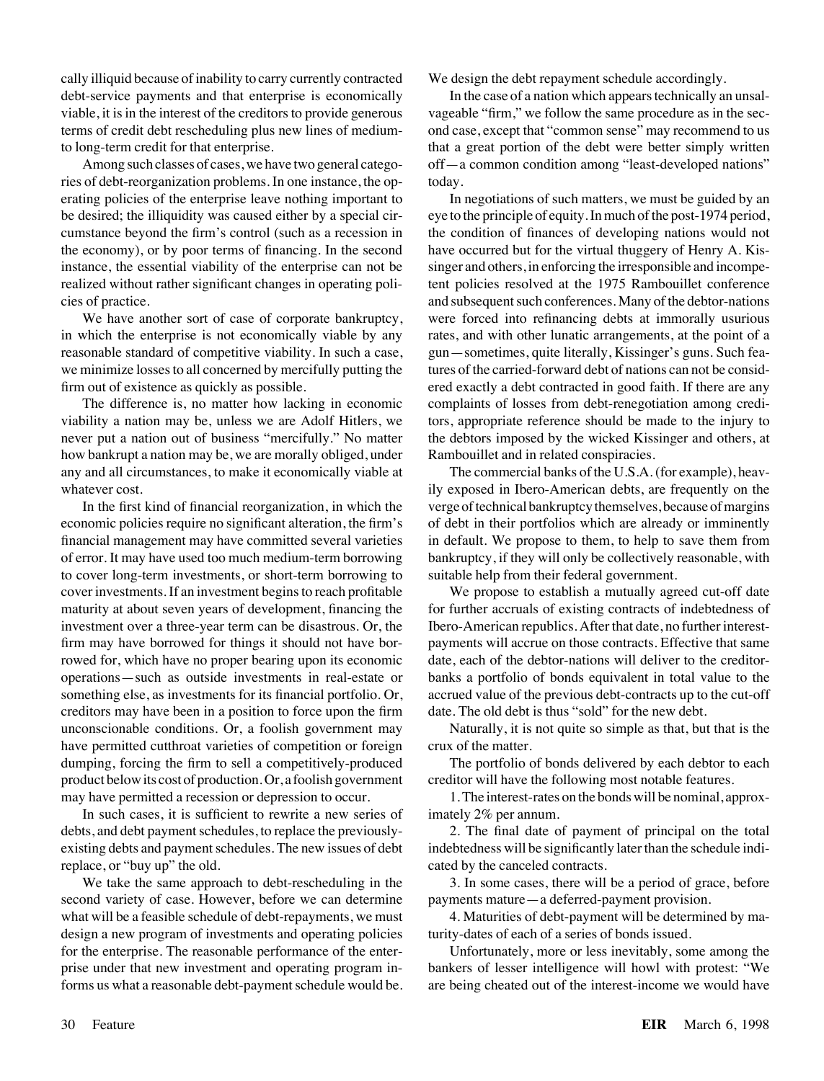cally illiquid because of inability to carry currently contracted We design the debt repayment schedule accordingly. debt-service payments and that enterprise is economically In the case of a nation which appears technically an unsalviable, it is in the interest of the creditors to provide generous vageable "firm," we follow the same procedure as in the sec-

ries of debt-reorganization problems. In one instance, the op- today. erating policies of the enterprise leave nothing important to In negotiations of such matters, we must be guided by an be desired; the illiquidity was caused either by a special cir- eye to the principle of equity. In much of the post-1974 period, cumstance beyond the firm's control (such as a recession in the condition of finances of developing nations would not the economy), or by poor terms of financing. In the second have occurred but for the virtual thuggery of Henry A. Kisinstance, the essential viability of the enterprise can not be singer and others, in enforcing the irresponsible and incomperealized without rather significant changes in operating poli- tent policies resolved at the 1975 Rambouillet conference cies of practice. and subsequent such conferences. Many of the debtor-nations

in which the enterprise is not economically viable by any rates, and with other lunatic arrangements, at the point of a reasonable standard of competitive viability. In such a case, gun—sometimes, quite literally, Kissinger's guns. Such feawe minimize losses to all concerned by mercifully putting the tures of the carried-forward debt of nations can not be considfirm out of existence as quickly as possible. ered exactly a debt contracted in good faith. If there are any

viability a nation may be, unless we are Adolf Hitlers, we tors, appropriate reference should be made to the injury to never put a nation out of business "mercifully." No matter the debtors imposed by the wicked Kissinger and others, at how bankrupt a nation may be, we are morally obliged, under Rambouillet and in related conspiracies. any and all circumstances, to make it economically viable at The commercial banks of the U.S.A. (for example), heavwhatever cost. **i** is exposed in Ibero-American debts, are frequently on the values of the state of the state of the state of the state of the state of the state of the state of the state of the state of the state of the s

economic policies require no significant alteration, the firm's of debt in their portfolios which are already or imminently financial management may have committed several varieties in default. We propose to them, to help to save them from of error. It may have used too much medium-term borrowing bankruptcy, if they will only be collectively reasonable, with to cover long-term investments, or short-term borrowing to suitable help from their federal government. cover investments. If an investment begins to reach profitable We propose to establish a mutually agreed cut-off date maturity at about seven years of development, financing the for further accruals of existing contracts of indebtedness of investment over a three-year term can be disastrous. Or, the Ibero-American republics. After that date, no further interestfirm may have borrowed for things it should not have bor- payments will accrue on those contracts. Effective that same rowed for, which have no proper bearing upon its economic date, each of the debtor-nations will deliver to the creditoroperations—such as outside investments in real-estate or banks a portfolio of bonds equivalent in total value to the something else, as investments for its financial portfolio. Or, accrued value of the previous debt-contracts up to the cut-off creditors may have been in a position to force upon the firm date. The old debt is thus "sold" for the new debt. unconscionable conditions. Or, a foolish government may Naturally, it is not quite so simple as that, but that is the have permitted cutthroat varieties of competition or foreign crux of the matter. dumping, forcing the firm to sell a competitively-produced The portfolio of bonds delivered by each debtor to each product below its cost of production. Or, a foolish government creditor will have the following most notable features. may have permitted a recession or depression to occur. 1. The interest-rates on the bonds will be nominal, approx-

In such cases, it is sufficient to rewrite a new series of imately  $2\%$  per annum. debts, and debt payment schedules, to replace the previously- 2. The final date of payment of principal on the total existing debts and payment schedules. The new issues of debt indebtedness will be significantly later than the schedule indireplace, or "buy up" the old. cated by the canceled contracts.

second variety of case. However, before we can determine payments mature—a deferred-payment provision. what will be a feasible schedule of debt-repayments, we must 4. Maturities of debt-payment will be determined by madesign a new program of investments and operating policies turity-dates of each of a series of bonds issued. for the enterprise. The reasonable performance of the enter- Unfortunately, more or less inevitably, some among the prise under that new investment and operating program in- bankers of lesser intelligence will howl with protest: "We forms us what a reasonable debt-payment schedule would be. are being cheated out of the interest-income we would have

terms of credit debt rescheduling plus new lines of medium- ond case, except that "common sense" may recommend to us to long-term credit for that enterprise. that a great portion of the debt were better simply written Among such classes of cases, we have two general catego- off—a common condition among "least-developed nations"

We have another sort of case of corporate bankruptcy, were forced into refinancing debts at immorally usurious The difference is, no matter how lacking in economic complaints of losses from debt-renegotiation among credi-

In the first kind of financial reorganization, in which the verge of technical bankruptcy themselves, because of margins

We take the same approach to debt-rescheduling in the 3. In some cases, there will be a period of grace, before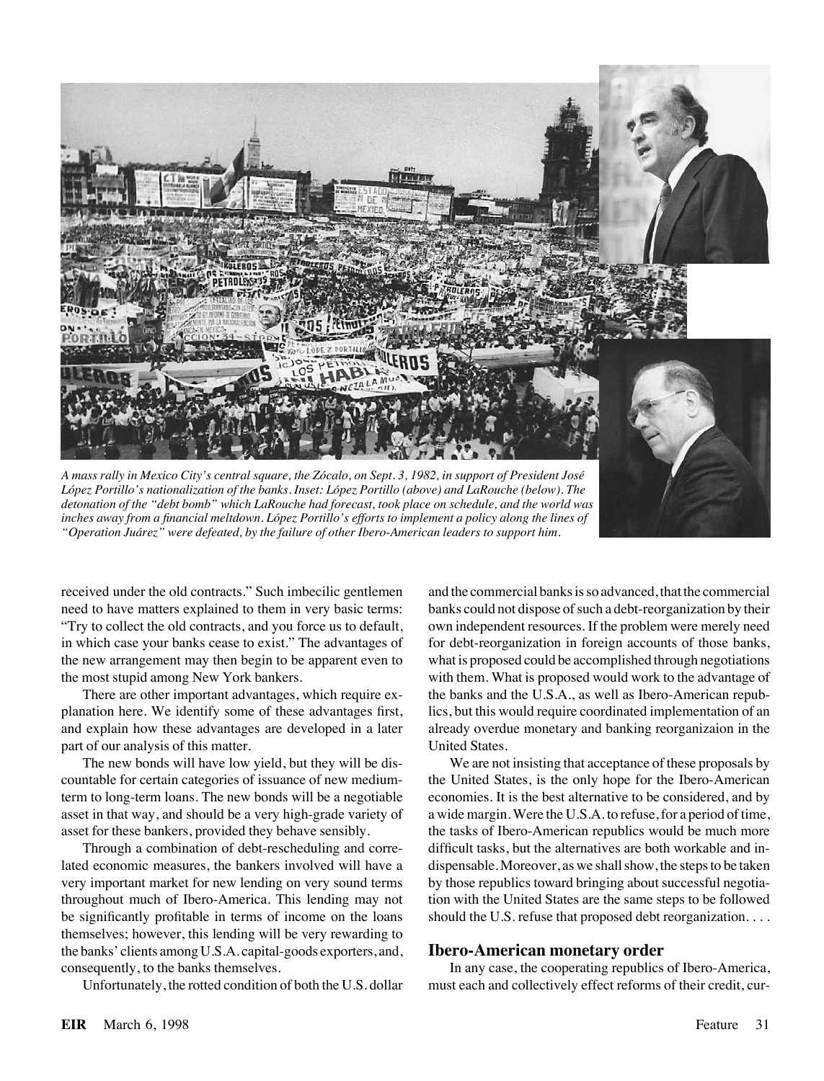

*Lo´pez Portillo's nationalization of the banks. Inset: Lo´pez Portillo (above) and LaRouche (below). The detonation of the "debt bomb" which LaRouche had forecast, took place on schedule, and the world was inches away from a financial meltdown. Lo´pez Portillo's efforts to implement a policy along the lines of "Operation Jua´rez" were defeated, by the failure of other Ibero-American leaders to support him.*

"Try to collect the old contracts, and you force us to default, own independent resources. If the problem were merely need the most stupid among New York bankers. with them. What is proposed would work to the advantage of

part of our analysis of this matter. United States.

very important market for new lending on very sound terms by those republics toward bringing about successful negotiabe significantly profitable in terms of income on the loans should the U.S. refuse that proposed debt reorganization.... themselves; however, this lending will be very rewarding to the banks' clients among U.S.A. capital-goods exporters, and, **Ibero-American monetary order**

received under the old contracts." Such imbecilic gentlemen and the commercial banks is so advanced, that the commercial need to have matters explained to them in very basic terms: banks could not dispose of such a debt-reorganization by their in which case your banks cease to exist." The advantages of for debt-reorganization in foreign accounts of those banks, the new arrangement may then begin to be apparent even to what is proposed could be accomplished through negotiations There are other important advantages, which require ex-<br>the banks and the U.S.A., as well as Ibero-American repubplanation here. We identify some of these advantages first, lics, but this would require coordinated implementation of an and explain how these advantages are developed in a later already overdue monetary and banking reorganizaion in the

The new bonds will have low yield, but they will be dis- We are not insisting that acceptance of these proposals by countable for certain categories of issuance of new medium- the United States, is the only hope for the Ibero-American term to long-term loans. The new bonds will be a negotiable economies. It is the best alternative to be considered, and by asset in that way, and should be a very high-grade variety of a wide margin. Were the U.S.A. to refuse, for a period of time, asset for these bankers, provided they behave sensibly. the tasks of Ibero-American republics would be much more Through a combination of debt-rescheduling and corre- difficult tasks, but the alternatives are both workable and inlated economic measures, the bankers involved will have a dispensable. Moreover, as we shall show, the steps to be taken throughout much of Ibero-America. This lending may not tion with the United States are the same steps to be followed

consequently, to the banks themselves. In any case, the cooperating republics of Ibero-America, Unfortunately, the rotted condition of both the U.S. dollar must each and collectively effect reforms of their credit, cur-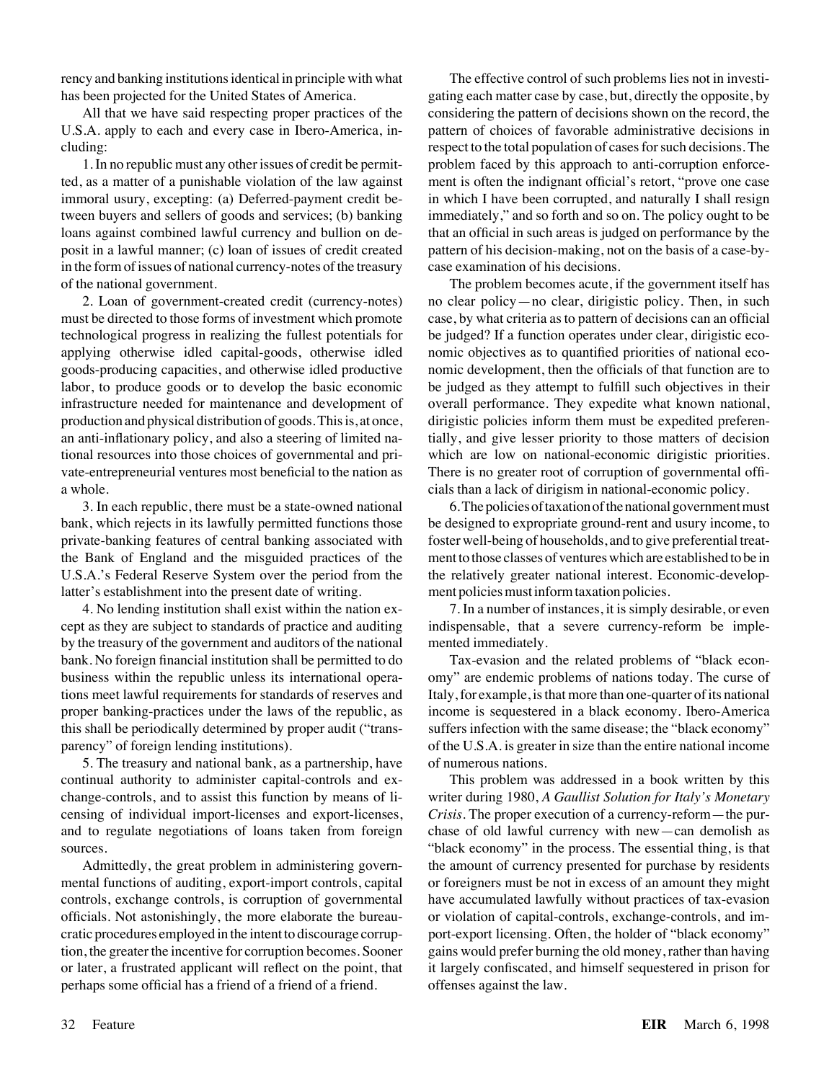U.S.A. apply to each and every case in Ibero-America, in-<br>
pattern of choices of favorable administrative decisions in cluding: respect to the total population of cases for such decisions. The

ted, as a matter of a punishable violation of the law against ment is often the indignant official's retort, "prove one case immoral usury, excepting: (a) Deferred-payment credit be- in which I have been corrupted, and naturally I shall resign tween buyers and sellers of goods and services; (b) banking immediately," and so forth and so on. The policy ought to be loans against combined lawful currency and bullion on de- that an official in such areas is judged on performance by the posit in a lawful manner; (c) loan of issues of credit created pattern of his decision-making, not on the basis of a case-byin the form of issues of national currency-notes of the treasury case examination of his decisions. of the national government. The problem becomes acute, if the government itself has

must be directed to those forms of investment which promote case, by what criteria as to pattern of decisions can an official technological progress in realizing the fullest potentials for be judged? If a function operates under clear, dirigistic ecoapplying otherwise idled capital-goods, otherwise idled nomic objectives as to quantified priorities of national ecogoods-producing capacities, and otherwise idled productive nomic development, then the officials of that function are to labor, to produce goods or to develop the basic economic be judged as they attempt to fulfill such objectives in their infrastructure needed for maintenance and development of overall performance. They expedite what known national, production and physical distribution of goods. This is, at once, dirigistic policies inform them must be expedited preferenan anti-inflationary policy, and also a steering of limited na- tially, and give lesser priority to those matters of decision tional resources into those choices of governmental and pri- which are low on national-economic dirigistic priorities. vate-entrepreneurial ventures most beneficial to the nation as There is no greater root of corruption of governmental offia whole. cials than a lack of dirigism in national-economic policy.

bank, which rejects in its lawfully permitted functions those be designed to expropriate ground-rent and usury income, to private-banking features of central banking associated with foster well-being of households, and to give preferential treatthe Bank of England and the misguided practices of the ment to those classes of ventures which are established to be in U.S.A.'s Federal Reserve System over the period from the the relatively greater national interest. Economic-developlatter's establishment into the present date of writing. ment policies must inform taxation policies.

cept as they are subject to standards of practice and auditing indispensable, that a severe currency-reform be impleby the treasury of the government and auditors of the national mented immediately. bank. No foreign financial institution shall be permitted to do Tax-evasion and the related problems of "black econbusiness within the republic unless its international opera- omy" are endemic problems of nations today. The curse of tions meet lawful requirements for standards of reserves and Italy, for example, is that more than one-quarter of its national proper banking-practices under the laws of the republic, as income is sequestered in a black economy. Ibero-America this shall be periodically determined by proper audit ("trans- suffers infection with the same disease; the "black economy" parency" of foreign lending institutions).  $\qquad \qquad$  of the U.S.A. is greater in size than the entire national income

5. The treasury and national bank, as a partnership, have of numerous nations. continual authority to administer capital-controls and ex- This problem was addressed in a book written by this change-controls, and to assist this function by means of li- writer during 1980, *A Gaullist Solution for Italy's Monetary* censing of individual import-licenses and export-licenses, *Crisis.* The proper execution of a currency-reform—the purand to regulate negotiations of loans taken from foreign chase of old lawful currency with new—can demolish as sources. "black economy" in the process. The essential thing, is that

mental functions of auditing, export-import controls, capital or foreigners must be not in excess of an amount they might controls, exchange controls, is corruption of governmental have accumulated lawfully without practices of tax-evasion officials. Not astonishingly, the more elaborate the bureau- or violation of capital-controls, exchange-controls, and imcratic procedures employed in the intent to discourage corrup- port-export licensing. Often, the holder of "black economy" tion, the greater the incentive for corruption becomes. Sooner gains would prefer burning the old money, rather than having or later, a frustrated applicant will reflect on the point, that it largely confiscated, and himself sequestered in prison for perhaps some official has a friend of a friend of a friend. offenses against the law.

rency and banking institutions identical in principle with what The effective control of such problems lies not in investihas been projected for the United States of America. gating each matter case by case, but, directly the opposite, by All that we have said respecting proper practices of the considering the pattern of decisions shown on the record, the 1. In no republic must any other issues of credit be permit- problem faced by this approach to anti-corruption enforce-

2. Loan of government-created credit (currency-notes) no clear policy—no clear, dirigistic policy. Then, in such

3. In each republic, there must be a state-owned national 6.Thepoliciesoftaxationofthenationalgovernmentmust

4. No lending institution shall exist within the nation ex- 7. In a number of instances, it is simply desirable, or even

Admittedly, the great problem in administering govern-<br>the amount of currency presented for purchase by residents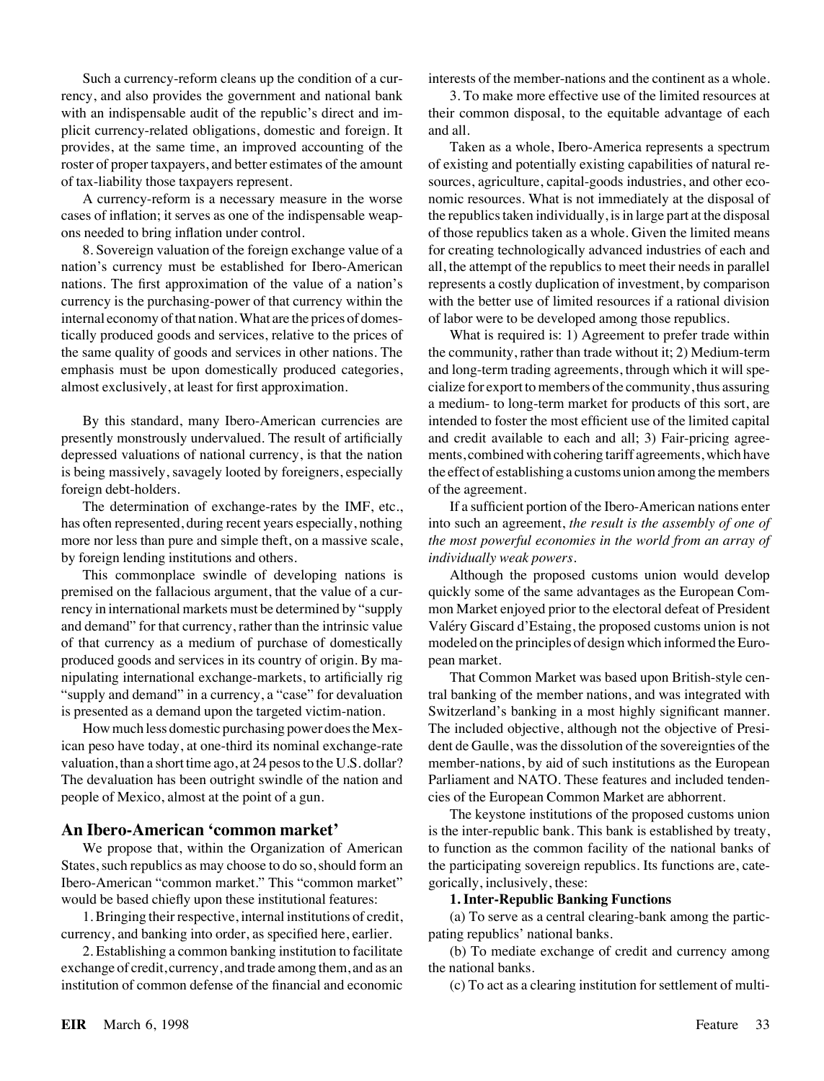rency, and also provides the government and national bank 3. To make more effective use of the limited resources at with an indispensable audit of the republic's direct and im-<br>their common disposal, to the equitable advantage of each plicit currency-related obligations, domestic and foreign. It and all. provides, at the same time, an improved accounting of the Taken as a whole, Ibero-America represents a spectrum

nation's currency must be established for Ibero-American all, the attempt of the republics to meet their needs in parallel nations. The first approximation of the value of a nation's represents a costly duplication of investment, by comparison currency is the purchasing-power of that currency within the with the better use of limited resources if a rational division internal economy of that nation. What are the prices of domes- of labor were to be developed among those republics. tically produced goods and services, relative to the prices of What is required is: 1) Agreement to prefer trade within the same quality of goods and services in other nations. The the community, rather than trade without it; 2) Medium-term emphasis must be upon domestically produced categories, and long-term trading agreements, through which it will spealmost exclusively, at least for first approximation. cialize for export to members of the community, thus assuring

presently monstrously undervalued. The result of artificially and credit available to each and all; 3) Fair-pricing agreedepressed valuations of national currency, is that the nation ments, combined with cohering tariff agreements, which have is being massively, savagely looted by foreigners, especially the effect of establishing a customs union among the members foreign debt-holders.  $\bullet$  of the agreement.

by foreign lending institutions and others. *individually weak powers.*

premised on the fallacious argument, that the value of a cur- quickly some of the same advantages as the European Comrency in international markets must be determined by "supply mon Market enjoyed prior to the electoral defeat of President and demand" for that currency, rather than the intrinsic value Valery Giscard d'Estaing, the proposed customs union is not of that currency as a medium of purchase of domestically modeled on the principles of design which informed the Europroduced goods and services in its country of origin. By ma- pean market. nipulating international exchange-markets, to artificially rig That Common Market was based upon British-style cen- "supply and demand" in a currency, a "case" for devaluation tral banking of the member nations, and was integrated with is presented as a demand upon the targeted victim-nation. Switzerland's banking in a most highly significant manner.

ican peso have today, at one-third its nominal exchange-rate dent de Gaulle, was the dissolution of the sovereignties of the valuation, than a short time ago, at 24 pesos to the U.S. dollar? member-nations, by aid of such institutions as the European The devaluation has been outright swindle of the nation and Parliament and NATO. These features and included tendenpeople of Mexico, almost at the point of a gun. cies of the European Common Market are abhorrent.

States, such republics as may choose to do so, should form an the participating sovereign republics. Its functions are, cate-Ibero-American "common market." This "common market" gorically, inclusively, these: would be based chiefly upon these institutional features: **1. Inter-Republic Banking Functions**

currency, and banking into order, as specified here, earlier. pating republics' national banks.

2. Establishing a common banking institution to facilitate (b) To mediate exchange of credit and currency among exchange of credit, currency, and trade among them, and as an the national banks. institution of common defense of the financial and economic (c) To act as a clearing institution for settlement of multi-

Such a currency-reform cleans up the condition of a cur-<br>interests of the member-nations and the continent as a whole.

roster of proper taxpayers, and better estimates of the amount of existing and potentially existing capabilities of natural reof tax-liability those taxpayers represent. sources, agriculture, capital-goods industries, and other eco-A currency-reform is a necessary measure in the worse nomic resources. What is not immediately at the disposal of cases of inflation; it serves as one of the indispensable weap- the republics taken individually, is in large part at the disposal ons needed to bring inflation under control. of those republics taken as a whole. Given the limited means 8. Sovereign valuation of the foreign exchange value of a for creating technologically advanced industries of each and

a medium- to long-term market for products of this sort, are By this standard, many Ibero-American currencies are intended to foster the most efficient use of the limited capital

The determination of exchange-rates by the IMF, etc., If a sufficient portion of the Ibero-American nations enter has often represented, during recent years especially, nothing into such an agreement, *the result is the assembly of one of* more nor less than pure and simple theft, on a massive scale, *the most powerful economies in the world from an array of*

This commonplace swindle of developing nations is Although the proposed customs union would develop

How much less domestic purchasing power does the Mex- The included objective, although not the objective of Presi-

The keystone institutions of the proposed customs union **An Ibero-American 'common market'** is the inter-republic bank. This bank is established by treaty, We propose that, within the Organization of American to function as the common facility of the national banks of

1. Bringing their respective, internal institutions of credit, (a) To serve as a central clearing-bank among the partic-